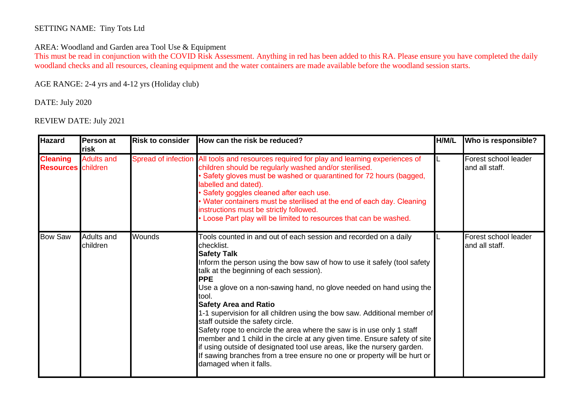## SETTING NAME: Tiny Tots Ltd

## AREA: Woodland and Garden area Tool Use & Equipment

This must be read in conjunction with the COVID Risk Assessment. Anything in red has been added to this RA. Please ensure you have completed the daily woodland checks and all resources, cleaning equipment and the water containers are made available before the woodland session starts.

AGE RANGE: 2-4 yrs and 4-12 yrs (Holiday club)

DATE: July 2020

REVIEW DATE: July 2021

| <b>Hazard</b>                                | Person at<br>risk      | <b>Risk to consider</b> | How can the risk be reduced?                                                                                                                                                                                                                                                                                                                                                                                                                                                                                                                                                                                                                                                                                                                                                                                     | H/M/L | Who is responsible?                    |
|----------------------------------------------|------------------------|-------------------------|------------------------------------------------------------------------------------------------------------------------------------------------------------------------------------------------------------------------------------------------------------------------------------------------------------------------------------------------------------------------------------------------------------------------------------------------------------------------------------------------------------------------------------------------------------------------------------------------------------------------------------------------------------------------------------------------------------------------------------------------------------------------------------------------------------------|-------|----------------------------------------|
| <b>Cleaning</b><br><b>Resources</b> children | <b>Adults and</b>      |                         | Spread of infection All tools and resources required for play and learning experiences of<br>children should be regularly washed and/or sterilised.<br>Safety gloves must be washed or quarantined for 72 hours (bagged,<br>abelled and dated).<br>Safety goggles cleaned after each use.<br>Water containers must be sterilised at the end of each day. Cleaning<br>instructions must be strictly followed.<br>. Loose Part play will be limited to resources that can be washed.                                                                                                                                                                                                                                                                                                                               |       | Forest school leader<br>and all staff. |
| <b>Bow Saw</b>                               | Adults and<br>children | <b>Wounds</b>           | Tools counted in and out of each session and recorded on a daily<br>checklist.<br><b>Safety Talk</b><br>Inform the person using the bow saw of how to use it safely (tool safety<br>talk at the beginning of each session).<br><b>PPE</b><br>Use a glove on a non-sawing hand, no glove needed on hand using the<br>tool.<br><b>Safety Area and Ratio</b><br>1-1 supervision for all children using the bow saw. Additional member of<br>staff outside the safety circle.<br>Safety rope to encircle the area where the saw is in use only 1 staff<br>member and 1 child in the circle at any given time. Ensure safety of site<br>if using outside of designated tool use areas, like the nursery garden.<br>If sawing branches from a tree ensure no one or property will be hurt or<br>damaged when it falls. |       | Forest school leader<br>and all staff. |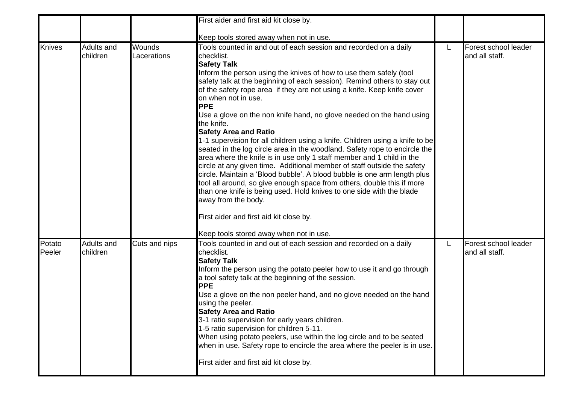|                  |                        |                       | First aider and first aid kit close by.                                                                                                                                                                                                                                                                                                                                                                                                                                                                                                                                                                                                                                                                                                                                                                                                                                                                                                                                                                                                                                                                                                                   |   |                                        |
|------------------|------------------------|-----------------------|-----------------------------------------------------------------------------------------------------------------------------------------------------------------------------------------------------------------------------------------------------------------------------------------------------------------------------------------------------------------------------------------------------------------------------------------------------------------------------------------------------------------------------------------------------------------------------------------------------------------------------------------------------------------------------------------------------------------------------------------------------------------------------------------------------------------------------------------------------------------------------------------------------------------------------------------------------------------------------------------------------------------------------------------------------------------------------------------------------------------------------------------------------------|---|----------------------------------------|
|                  |                        |                       | Keep tools stored away when not in use.                                                                                                                                                                                                                                                                                                                                                                                                                                                                                                                                                                                                                                                                                                                                                                                                                                                                                                                                                                                                                                                                                                                   |   |                                        |
| <b>Knives</b>    | Adults and<br>children | Wounds<br>Lacerations | Tools counted in and out of each session and recorded on a daily<br>checklist.<br><b>Safety Talk</b><br>Inform the person using the knives of how to use them safely (tool<br>safety talk at the beginning of each session). Remind others to stay out<br>of the safety rope area if they are not using a knife. Keep knife cover<br>on when not in use.<br><b>PPE</b><br>Use a glove on the non knife hand, no glove needed on the hand using<br>the knife.<br><b>Safety Area and Ratio</b><br>1-1 supervision for all children using a knife. Children using a knife to be<br>seated in the log circle area in the woodland. Safety rope to encircle the<br>area where the knife is in use only 1 staff member and 1 child in the<br>circle at any given time. Additional member of staff outside the safety<br>circle. Maintain a 'Blood bubble'. A blood bubble is one arm length plus<br>tool all around, so give enough space from others, double this if more<br>than one knife is being used. Hold knives to one side with the blade<br>away from the body.<br>First aider and first aid kit close by.<br>Keep tools stored away when not in use. | L | Forest school leader<br>and all staff. |
| Potato<br>Peeler | Adults and<br>children | Cuts and nips         | Tools counted in and out of each session and recorded on a daily<br>checklist.<br><b>Safety Talk</b><br>Inform the person using the potato peeler how to use it and go through<br>a tool safety talk at the beginning of the session.<br><b>PPE</b><br>Use a glove on the non peeler hand, and no glove needed on the hand<br>using the peeler.<br><b>Safety Area and Ratio</b><br>3-1 ratio supervision for early years children.<br>1-5 ratio supervision for children 5-11.<br>When using potato peelers, use within the log circle and to be seated<br>when in use. Safety rope to encircle the area where the peeler is in use.<br>First aider and first aid kit close by.                                                                                                                                                                                                                                                                                                                                                                                                                                                                           |   | Forest school leader<br>and all staff. |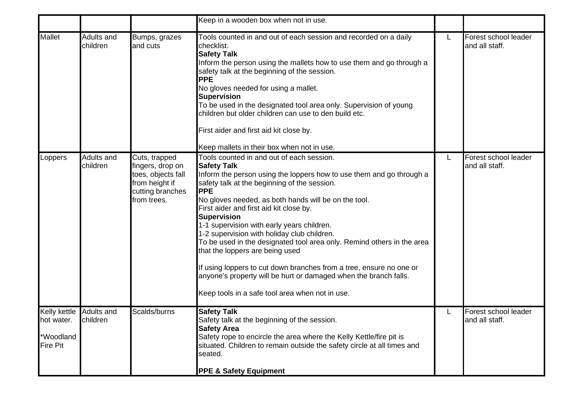|                                                                       |                        |                                                                                                              | Keep in a wooden box when not in use.                                                                                                                                                                                                                                                                                                                                                                                                                                                                                                                                                                                                                                                                                                  |   |                                        |
|-----------------------------------------------------------------------|------------------------|--------------------------------------------------------------------------------------------------------------|----------------------------------------------------------------------------------------------------------------------------------------------------------------------------------------------------------------------------------------------------------------------------------------------------------------------------------------------------------------------------------------------------------------------------------------------------------------------------------------------------------------------------------------------------------------------------------------------------------------------------------------------------------------------------------------------------------------------------------------|---|----------------------------------------|
| <b>Mallet</b>                                                         | Adults and<br>children | Bumps, grazes<br>and cuts                                                                                    | Tools counted in and out of each session and recorded on a daily<br>checklist.<br><b>Safety Talk</b><br>Inform the person using the mallets how to use them and go through a<br>safety talk at the beginning of the session.<br><b>PPE</b><br>No gloves needed for using a mallet.<br>Supervision<br>To be used in the designated tool area only. Supervision of young<br>children but older children can use to den build etc.<br>First aider and first aid kit close by.<br>Keep mallets in their box when not in use.                                                                                                                                                                                                               | L | Forest school leader<br>and all staff. |
| Loppers                                                               | Adults and<br>children | Cuts, trapped<br>fingers, drop on<br>toes, objects fall<br>from height if<br>cutting branches<br>from trees. | Tools counted in and out of each session.<br><b>Safety Talk</b><br>Inform the person using the loppers how to use them and go through a<br>safety talk at the beginning of the session.<br><b>PPE</b><br>No gloves needed, as both hands will be on the tool.<br>First aider and first aid kit close by.<br><b>Supervision</b><br>1-1 supervision with early years children.<br>1-2 supervision with holiday club children.<br>To be used in the designated tool area only. Remind others in the area<br>that the loppers are being used<br>If using loppers to cut down branches from a tree, ensure no one or<br>anyone's property will be hurt or damaged when the branch falls.<br>Keep tools in a safe tool area when not in use. | L | Forest school leader<br>and all staff. |
| Kelly kettle Adults and<br>hot water.<br>*Woodland<br><b>Fire Pit</b> | children               | Scalds/burns                                                                                                 | <b>Safety Talk</b><br>Safety talk at the beginning of the session.<br><b>Safety Area</b><br>Safety rope to encircle the area where the Kelly Kettle/fire pit is<br>situated. Children to remain outside the safety circle at all times and<br>seated.<br><b>PPE &amp; Safety Equipment</b>                                                                                                                                                                                                                                                                                                                                                                                                                                             |   | Forest school leader<br>and all staff. |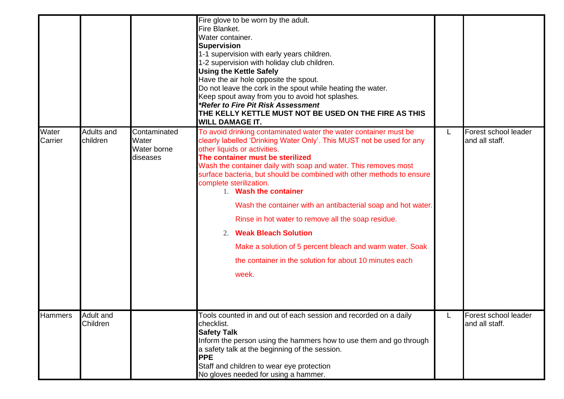|                  |                        |                                                  | Fire glove to be worn by the adult.<br>Fire Blanket.<br>Water container.<br><b>Supervision</b><br>1-1 supervision with early years children.<br>1-2 supervision with holiday club children.<br><b>Using the Kettle Safely</b><br>Have the air hole opposite the spout.<br>Do not leave the cork in the spout while heating the water.<br>Keep spout away from you to avoid hot splashes.<br>*Refer to Fire Pit Risk Assessment<br>THE KELLY KETTLE MUST NOT BE USED ON THE FIRE AS THIS<br><b>WILL DAMAGE IT.</b>                                                                                                                                                                              |   |                                        |
|------------------|------------------------|--------------------------------------------------|------------------------------------------------------------------------------------------------------------------------------------------------------------------------------------------------------------------------------------------------------------------------------------------------------------------------------------------------------------------------------------------------------------------------------------------------------------------------------------------------------------------------------------------------------------------------------------------------------------------------------------------------------------------------------------------------|---|----------------------------------------|
| Water<br>Carrier | Adults and<br>children | Contaminated<br>Water<br>Water borne<br>diseases | To avoid drinking contaminated water the water container must be<br>clearly labelled 'Drinking Water Only'. This MUST not be used for any<br>other liquids or activities.<br>The container must be sterilized<br>Wash the container daily with soap and water. This removes most<br>surface bacteria, but should be combined with other methods to ensure<br>complete sterilization.<br>1. Wash the container<br>Wash the container with an antibacterial soap and hot water.<br>Rinse in hot water to remove all the soap residue.<br>2. Weak Bleach Solution<br>Make a solution of 5 percent bleach and warm water. Soak<br>the container in the solution for about 10 minutes each<br>week. | L | Forest school leader<br>and all staff. |
| Hammers          | Adult and<br>Children  |                                                  | Tools counted in and out of each session and recorded on a daily<br>checklist.<br><b>Safety Talk</b><br>Inform the person using the hammers how to use them and go through<br>a safety talk at the beginning of the session.<br><b>PPE</b><br>Staff and children to wear eye protection<br>No gloves needed for using a hammer.                                                                                                                                                                                                                                                                                                                                                                |   | Forest school leader<br>and all staff. |